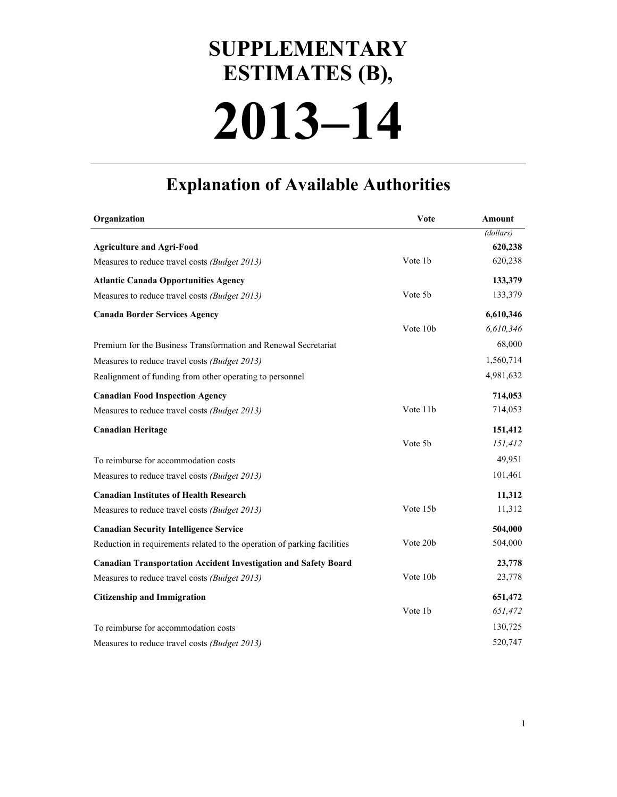## **2013–14 SUPPLEMENTARY ESTIMATES (B),**

## **Explanation of Available Authorities**

| Organization                                                             | Vote     | Amount    |
|--------------------------------------------------------------------------|----------|-----------|
|                                                                          |          | (dollars) |
| <b>Agriculture and Agri-Food</b>                                         |          | 620,238   |
| Measures to reduce travel costs (Budget 2013)                            | Vote 1b  | 620,238   |
| <b>Atlantic Canada Opportunities Agency</b>                              |          | 133,379   |
| Measures to reduce travel costs (Budget 2013)                            | Vote 5b  | 133,379   |
| <b>Canada Border Services Agency</b>                                     |          | 6,610,346 |
|                                                                          | Vote 10b | 6,610,346 |
| Premium for the Business Transformation and Renewal Secretariat          |          | 68,000    |
| Measures to reduce travel costs (Budget 2013)                            |          | 1,560,714 |
| Realignment of funding from other operating to personnel                 |          | 4,981,632 |
| <b>Canadian Food Inspection Agency</b>                                   |          | 714,053   |
| Measures to reduce travel costs (Budget 2013)                            | Vote 11b | 714,053   |
| <b>Canadian Heritage</b>                                                 |          | 151,412   |
|                                                                          | Vote 5b  | 151,412   |
| To reimburse for accommodation costs                                     |          | 49,951    |
| Measures to reduce travel costs (Budget 2013)                            |          | 101,461   |
| <b>Canadian Institutes of Health Research</b>                            |          | 11,312    |
| Measures to reduce travel costs (Budget 2013)                            | Vote 15b | 11,312    |
| <b>Canadian Security Intelligence Service</b>                            |          | 504,000   |
| Reduction in requirements related to the operation of parking facilities | Vote 20b | 504,000   |
| <b>Canadian Transportation Accident Investigation and Safety Board</b>   |          | 23,778    |
| Measures to reduce travel costs (Budget 2013)                            | Vote 10b | 23,778    |
| <b>Citizenship and Immigration</b>                                       |          | 651,472   |
|                                                                          | Vote 1b  | 651,472   |
| To reimburse for accommodation costs                                     |          | 130,725   |
| Measures to reduce travel costs (Budget 2013)                            |          | 520,747   |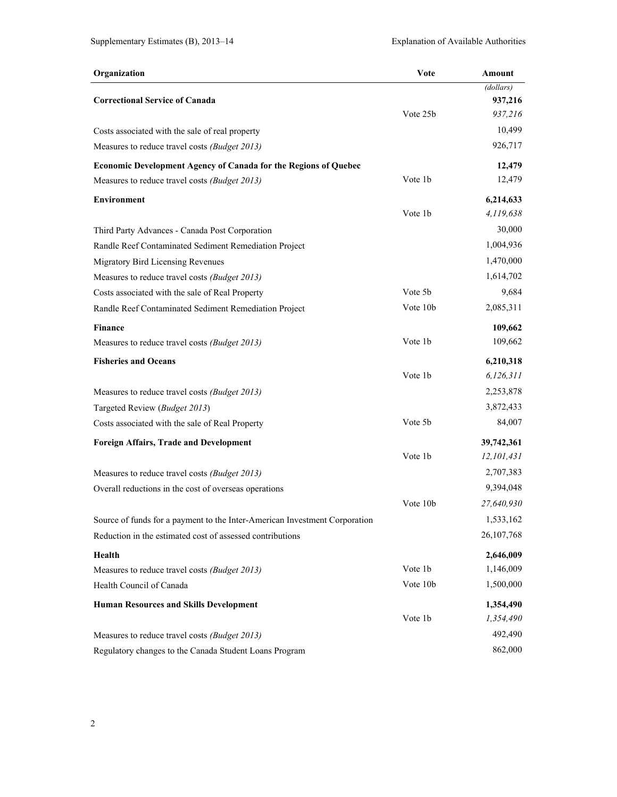| Organization                                                               | Vote     | Amount       |
|----------------------------------------------------------------------------|----------|--------------|
|                                                                            |          | (dollars)    |
| <b>Correctional Service of Canada</b>                                      |          | 937,216      |
|                                                                            | Vote 25b | 937,216      |
| Costs associated with the sale of real property                            |          | 10,499       |
| Measures to reduce travel costs (Budget 2013)                              |          | 926,717      |
| <b>Economic Development Agency of Canada for the Regions of Quebec</b>     |          | 12,479       |
| Measures to reduce travel costs (Budget 2013)                              | Vote 1b  | 12,479       |
| <b>Environment</b>                                                         |          | 6,214,633    |
|                                                                            | Vote 1b  | 4,119,638    |
| Third Party Advances - Canada Post Corporation                             |          | 30,000       |
| Randle Reef Contaminated Sediment Remediation Project                      |          | 1,004,936    |
| Migratory Bird Licensing Revenues                                          |          | 1,470,000    |
| Measures to reduce travel costs (Budget 2013)                              |          | 1,614,702    |
| Costs associated with the sale of Real Property                            | Vote 5b  | 9,684        |
| Randle Reef Contaminated Sediment Remediation Project                      | Vote 10b | 2,085,311    |
| <b>Finance</b>                                                             |          | 109,662      |
| Measures to reduce travel costs (Budget 2013)                              | Vote 1b  | 109,662      |
| <b>Fisheries and Oceans</b>                                                |          | 6,210,318    |
|                                                                            | Vote 1b  | 6,126,311    |
| Measures to reduce travel costs (Budget 2013)                              |          | 2,253,878    |
| Targeted Review (Budget 2013)                                              |          | 3,872,433    |
| Costs associated with the sale of Real Property                            | Vote 5b  | 84,007       |
| <b>Foreign Affairs, Trade and Development</b>                              |          | 39,742,361   |
|                                                                            | Vote 1b  | 12,101,431   |
| Measures to reduce travel costs (Budget 2013)                              |          | 2,707,383    |
| Overall reductions in the cost of overseas operations                      |          | 9,394,048    |
|                                                                            | Vote 10b | 27,640,930   |
| Source of funds for a payment to the Inter-American Investment Corporation |          | 1,533,162    |
| Reduction in the estimated cost of assessed contributions                  |          | 26, 107, 768 |
| Health                                                                     |          | 2,646,009    |
| Measures to reduce travel costs (Budget 2013)                              | Vote 1b  | 1,146,009    |
| Health Council of Canada                                                   | Vote 10b | 1,500,000    |
| <b>Human Resources and Skills Development</b>                              |          | 1,354,490    |
|                                                                            | Vote 1b  | 1,354,490    |
| Measures to reduce travel costs (Budget 2013)                              |          | 492,490      |
| Regulatory changes to the Canada Student Loans Program                     |          | 862,000      |

2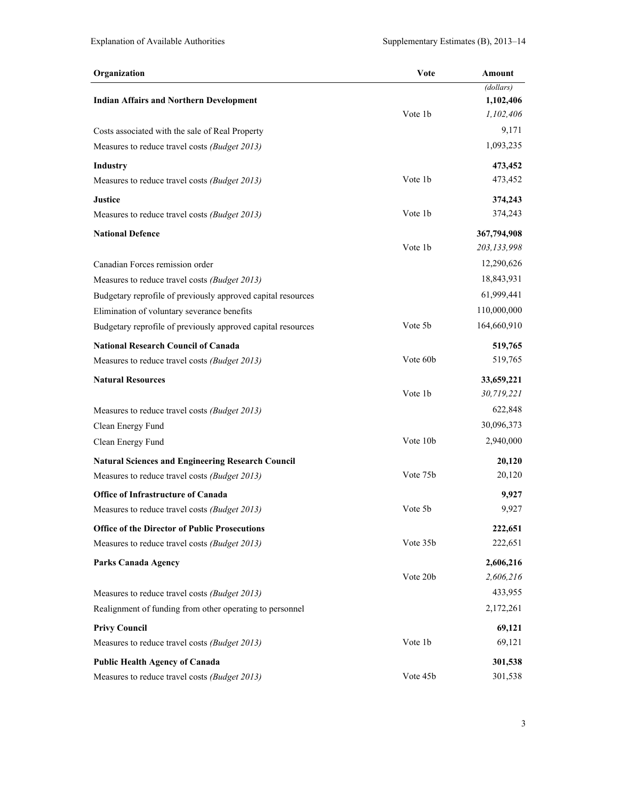| (dollars)<br><b>Indian Affairs and Northern Development</b><br>1,102,406<br>Vote 1b<br>1,102,406<br>Costs associated with the sale of Real Property<br>1,093,235<br>Measures to reduce travel costs (Budget 2013) | 9,171  |
|-------------------------------------------------------------------------------------------------------------------------------------------------------------------------------------------------------------------|--------|
|                                                                                                                                                                                                                   |        |
|                                                                                                                                                                                                                   |        |
|                                                                                                                                                                                                                   |        |
|                                                                                                                                                                                                                   |        |
|                                                                                                                                                                                                                   |        |
| 473,452<br><b>Industry</b>                                                                                                                                                                                        |        |
| Vote 1b<br>473,452<br>Measures to reduce travel costs (Budget 2013)                                                                                                                                               |        |
| <b>Justice</b><br>374,243                                                                                                                                                                                         |        |
| 374,243<br>Vote 1b<br>Measures to reduce travel costs (Budget 2013)                                                                                                                                               |        |
| <b>National Defence</b><br>367,794,908                                                                                                                                                                            |        |
| Vote 1b<br>203,133,998                                                                                                                                                                                            |        |
| 12,290,626<br>Canadian Forces remission order                                                                                                                                                                     |        |
| 18,843,931<br>Measures to reduce travel costs (Budget 2013)                                                                                                                                                       |        |
| 61,999,441<br>Budgetary reprofile of previously approved capital resources                                                                                                                                        |        |
| 110,000,000<br>Elimination of voluntary severance benefits                                                                                                                                                        |        |
| Vote 5b<br>164,660,910<br>Budgetary reprofile of previously approved capital resources                                                                                                                            |        |
| <b>National Research Council of Canada</b><br>519,765                                                                                                                                                             |        |
| Vote 60b<br>519,765<br>Measures to reduce travel costs (Budget 2013)                                                                                                                                              |        |
| <b>Natural Resources</b><br>33,659,221                                                                                                                                                                            |        |
| 30,719,221<br>Vote 1b                                                                                                                                                                                             |        |
| 622,848<br>Measures to reduce travel costs (Budget 2013)                                                                                                                                                          |        |
| 30,096,373<br>Clean Energy Fund                                                                                                                                                                                   |        |
| Vote 10b<br>2,940,000<br>Clean Energy Fund                                                                                                                                                                        |        |
| <b>Natural Sciences and Engineering Research Council</b>                                                                                                                                                          | 20,120 |
| Vote 75b<br>Measures to reduce travel costs (Budget 2013)                                                                                                                                                         | 20,120 |
| <b>Office of Infrastructure of Canada</b>                                                                                                                                                                         | 9,927  |
| Vote 5b<br>Measures to reduce travel costs (Budget 2013)                                                                                                                                                          | 9,927  |
| <b>Office of the Director of Public Prosecutions</b><br>222,651                                                                                                                                                   |        |
| Vote 35b<br>222,651<br>Measures to reduce travel costs (Budget 2013)                                                                                                                                              |        |
| 2,606,216<br><b>Parks Canada Agency</b>                                                                                                                                                                           |        |
| Vote 20b<br>2,606,216                                                                                                                                                                                             |        |
| 433,955<br>Measures to reduce travel costs (Budget 2013)                                                                                                                                                          |        |
| 2,172,261<br>Realignment of funding from other operating to personnel                                                                                                                                             |        |
| <b>Privy Council</b>                                                                                                                                                                                              | 69,121 |
| Vote 1b<br>Measures to reduce travel costs (Budget 2013)                                                                                                                                                          | 69,121 |
| <b>Public Health Agency of Canada</b><br>301,538                                                                                                                                                                  |        |
| Vote 45b<br>301,538<br>Measures to reduce travel costs (Budget 2013)                                                                                                                                              |        |